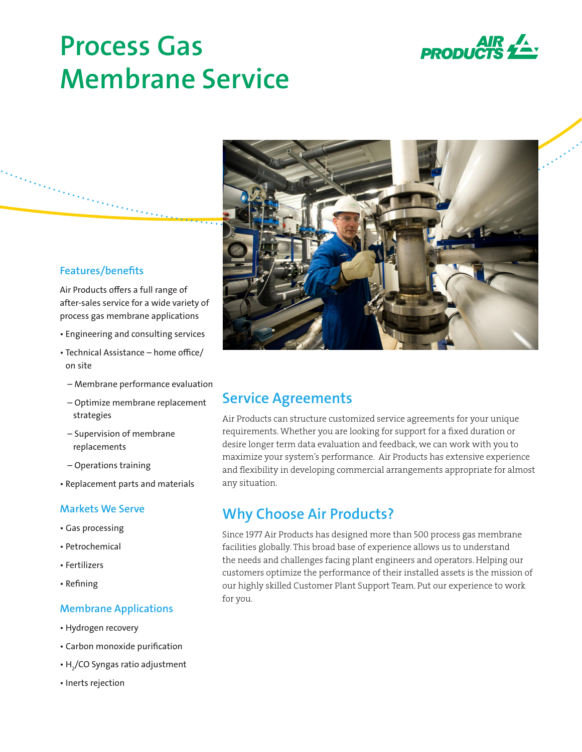# **Process Gas Membrane Service**





## **Features/benefits**

Air Products offers a full range of after-sales service for a wide variety of process gas membrane applications

- Engineering and consulting services
- Technical Assistance home office/ on site
- Membrane performance evaluation
- Optimize membrane replacement strategies
- Supervision of membrane replacements
- Operations training
- Replacement parts and materials

## **Markets We Serve**

- Gas processing
- Petrochemical
- Fertilizers
- Refining

## **Membrane Applications**

- Hydrogen recovery
- Carbon monoxide purification
- $\bullet$  H $_{\rm 2}$ /CO Syngas ratio adjustment
- Inerts rejection

# **Service Agreements**

Air Products can structure customized service agreements for your unique requirements. Whether you are looking for support for a fixed duration or desire longer term data evaluation and feedback, we can work with you to maximize your system's performance. Air Products has extensive experience and flexibility in developing commercial arrangements appropriate for almost any situation.

# **Why Choose Air Products?**

Since 1977 Air Products has designed more than 500 process gas membrane facilities globally. This broad base of experience allows us to understand the needs and challenges facing plant engineers and operators. Helping our customers optimize the performance of their installed assets is the mission of our highly skilled Customer Plant Support Team. Put our experience to work for you.